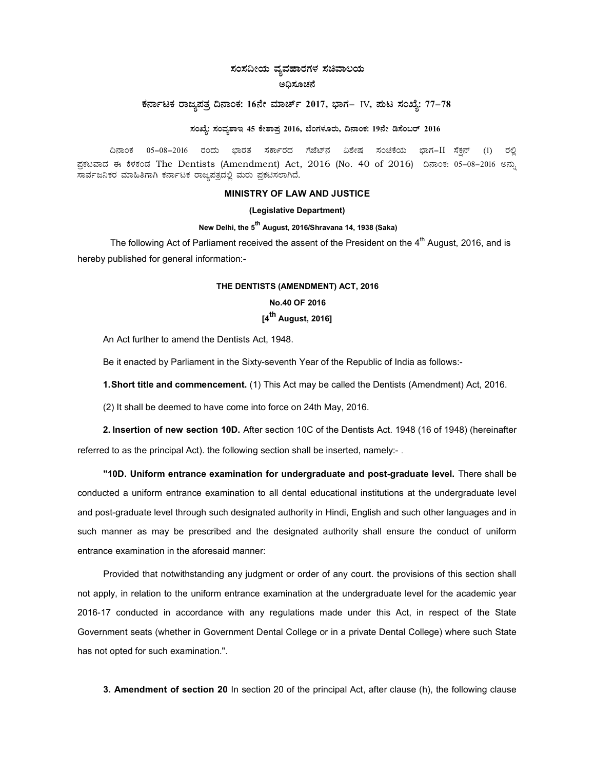## ಸಂಸದೀಯ ವ್ಯವಹಾರಗಳ ಸಚಿವಾಲಯ ಅಧಿಸೂಚನೆ

# ಕರ್ನಾಟಕ ರಾಜ್ಯಪತ್ರ ದಿನಾಂಕ: 16ನೇ ಮಾರ್ಚ್ 2017, ಭಾಗ– IV, ಮಟ ಸಂಖ್ಯೆ: 77-78

### ಸಂಖ್ಯೆ: ಸಂವ್ಯಶಾಇ 45 ಕೇಶಾಪ್ರ 2016, ಬೆಂಗಳೂರು, ದಿನಾಂಕ: 19ನೇ ಡಿಸೆಂಬರ್ 2016

ದಿನಾಂಕ 05–08–2016 ರಂದು ಭಾರತ ಸರ್ಕಾರದ ಗೆಜೆಟ್ನ ವಿಶೇಷ ಸಂಚಿಕೆಯ ಭಾಗ−II ಸೆಕನ್ (1) ರಲ್ಲಿ ಪ್ರಕಟವಾದ ಈ ಕೆಳಕಂಡ The Dentists (Amendment) Act, 2016 (No. 40 of 2016) ದಿನಾಂಕ: 05–08–2016 ಅನ್ಸು ಸಾರ್ವಜನಿಕರ ಮಾಹಿತಿಗಾಗಿ ಕರ್ನಾಟಕ ರಾಜ್ಯಪತ್ರದಲ್ಲಿ ಮರು ಪ್ರಕಟಿಸಲಾಗಿದೆ.

### MINISTRY OF LAW AND JUSTICE

#### (Legislative Department)

### New Delhi, the 5<sup>th</sup> August, 2016/Shravana 14, 1938 (Saka)

The following Act of Parliament received the assent of the President on the 4<sup>th</sup> August, 2016, and is hereby published for general information:-

#### THE DENTISTS (AMENDMENT) ACT, 2016

## No.40 OF 2016  $I4<sup>th</sup>$  August, 2016]

An Act further to amend the Dentists Act, 1948.

Be it enacted by Parliament in the Sixty-seventh Year of the Republic of India as follows:-

1. Short title and commencement. (1) This Act may be called the Dentists (Amendment) Act, 2016.

(2) It shall be deemed to have come into force on 24th May, 2016.

2. Insertion of new section 10D. After section 10C of the Dentists Act. 1948 (16 of 1948) (hereinafter referred to as the principal Act). the following section shall be inserted, namely:- .

"10D. Uniform entrance examination for undergraduate and post-graduate level. There shall be conducted a uniform entrance examination to all dental educational institutions at the undergraduate level and post-graduate level through such designated authority in Hindi, English and such other languages and in such manner as may be prescribed and the designated authority shall ensure the conduct of uniform entrance examination in the aforesaid manner:

Provided that notwithstanding any judgment or order of any court. the provisions of this section shall not apply, in relation to the uniform entrance examination at the undergraduate level for the academic year 2016-17 conducted in accordance with any regulations made under this Act, in respect of the State Government seats (whether in Government Dental College or in a private Dental College) where such State has not opted for such examination.".

3. Amendment of section 20 In section 20 of the principal Act, after clause (h), the following clause